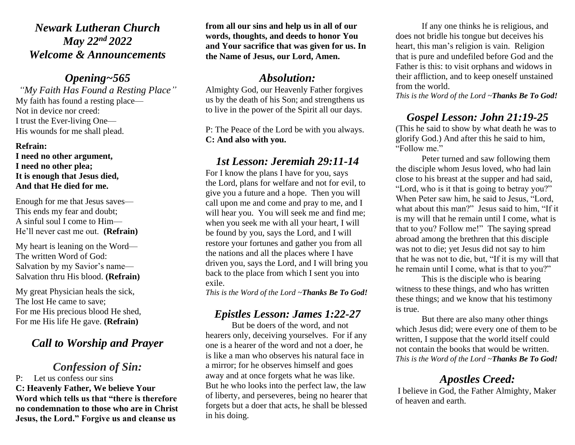### *Newark Lutheran Church May 22nd 2022 Welcome & Announcements*

### *Opening~565*

*"My Faith Has Found a Resting Place"* My faith has found a resting place— Not in device nor creed: I trust the Ever-living One— His wounds for me shall plead.

#### **Refrain:**

**I need no other argument, I need no other plea; It is enough that Jesus died, And that He died for me.**

Enough for me that Jesus saves— This ends my fear and doubt; A sinful soul I come to Him— He'll never cast me out. **(Refrain)**

My heart is leaning on the Word— The written Word of God: Salvation by my Savior's name— Salvation thru His blood. **(Refrain)**

My great Physician heals the sick, The lost He came to save; For me His precious blood He shed, For me His life He gave. **(Refrain)**

# *Call to Worship and Prayer*

### *Confession of Sin:*

P: Let us confess our sins **C: Heavenly Father, We believe Your Word which tells us that "there is therefore no condemnation to those who are in Christ Jesus, the Lord." Forgive us and cleanse us** 

**from all our sins and help us in all of our words, thoughts, and deeds to honor You and Your sacrifice that was given for us. In the Name of Jesus, our Lord, Amen.**

### *Absolution:*

Almighty God, our Heavenly Father forgives us by the death of his Son; and strengthens us to live in the power of the Spirit all our days.

P: The Peace of the Lord be with you always. **C: And also with you.**

### *1st Lesson: Jeremiah 29:11-14*

For I know the plans I have for you, says the Lord, plans for welfare and not for evil, to give you a future and a hope. Then you will call upon me and come and pray to me, and I will hear you. You will seek me and find me; when you seek me with all your heart, I will be found by you, says the Lord, and I will restore your fortunes and gather you from all the nations and all the places where I have driven you, says the Lord, and I will bring you back to the place from which I sent you into exile[.](https://www.biblegateway.com/passage/?search=Job+19&version=RSV)

*This is the Word of the Lord ~Thanks Be To God!*

# *Epistles Lesson: James 1:22-27*

But be doers of the word, and not hearers only, deceiving yourselves. For if any one is a hearer of the word and not a doer, he is like a man who observes his natural face in a mirror; for he observes himself and goes away and at once forgets what he was like. But he who looks into the perfect law, the law of liberty, and perseveres, being no hearer that forgets but a doer that acts, he shall be blessed in his doing.

If any one thinks he is religious, and does not bridle his tongue but deceives his heart, this man's religion is vain. Religion that is pure and undefiled before God and the Father is this: to visit orphans and widows in their affliction, and to keep oneself unstained from the world.

*This is the Word of the Lord ~Thanks Be To God!*

# *Gospel Lesson: John 21:19-25*

(This he said to show by what death he was to glorify God.) And after this he said to him, "Follow me."

Peter turned and saw following them the disciple whom Jesus loved, who had lain close to his breast at the supper and had said, "Lord, who is it that is going to betray you?" When Peter saw him, he said to Jesus, "Lord, what about this man?" Jesus said to him, "If it is my will that he remain until I come, what is that to you? Follow me!" The saying spread abroad among the brethren that this disciple was not to die; yet Jesus did not say to him that he was not to die, but, "If it is my will that he remain until I come, what is that to you?"

This is the disciple who is bearing witness to these things, and who has written these things; and we know that his testimony is true.

But there are also many other things which Jesus did; were every one of them to be written, I suppose that the world itself could not contain the books that would be written. *This is the Word of the Lord ~Thanks Be To God!*

# *Apostles Creed:*

I believe in God, the Father Almighty, Maker of heaven and earth.